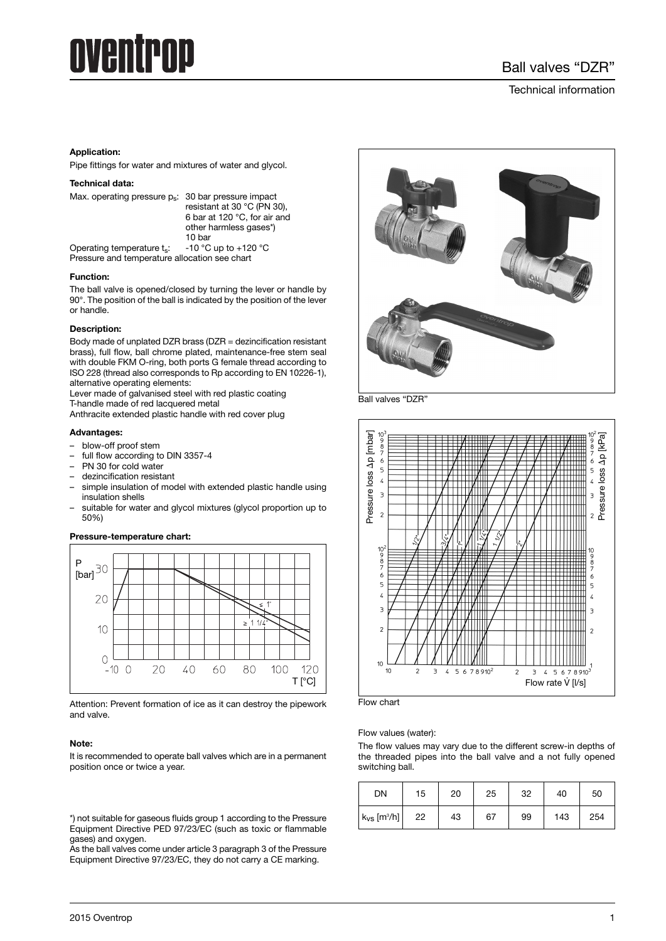# Aventrop

# Technical information

# **Application:**

Pipe fittings for water and mixtures of water and glycol.

#### **Technical data:**

| Max. operating pressure p <sub>s</sub> : 30 bar pressure impact | resistant at 30 °C (PN 30).                            |  |
|-----------------------------------------------------------------|--------------------------------------------------------|--|
|                                                                 | 6 bar at 120 °C, for air and<br>other harmless gases*) |  |

10 bar<br>-10 °C up to +120 °C Operating temperature ts: Pressure and temperature allocation see chart

## **Function:**

The ball valve is opened/closed by turning the lever or handle by 90°. The position of the ball is indicated by the position of the lever or handle.

## **Description:**

Body made of unplated DZR brass (DZR = dezincification resistant brass), full flow, ball chrome plated, maintenance-free stem seal with double FKM O-ring, both ports G female thread according to ISO 228 (thread also corresponds to Rp according to EN 10226-1), alternative operating elements:

Lever made of galvanised steel with red plastic coating T-handle made of red lacquered metal

Anthracite extended plastic handle with red cover plug

#### **Advantages:**

- blow-off proof stem
- full flow according to DIN 3357-4
- PN 30 for cold water
- dezincification resistant
- simple insulation of model with extended plastic handle using insulation shells
- suitable for water and glycol mixtures (glycol proportion up to 50%)

# **Pressure-temperature chart:**



Attention: Prevent formation of ice as it can destroy the pipework and valve.

#### **Note:**

It is recommended to operate ball valves which are in a permanent position once or twice a year.

\*) not suitable for gaseous fluids group 1 according to the Pressure Equipment Directive PED 97/23/EC (such as toxic or flammable gases) and oxygen.

As the ball valves come under article 3 paragraph 3 of the Pressure Equipment Directive 97/23/EC, they do not carry a CE marking.



Ball valves "DZR





Flow values (water):

The flow values may vary due to the different screw-in depths of the threaded pipes into the ball valve and a not fully opened switching ball.

| DN                           | 15 | 20 | 25 | 32 | 40  | 50  |
|------------------------------|----|----|----|----|-----|-----|
| $k_{VS}$ [m <sup>3</sup> /h] | 22 | 43 | 67 | 99 | 143 | 254 |